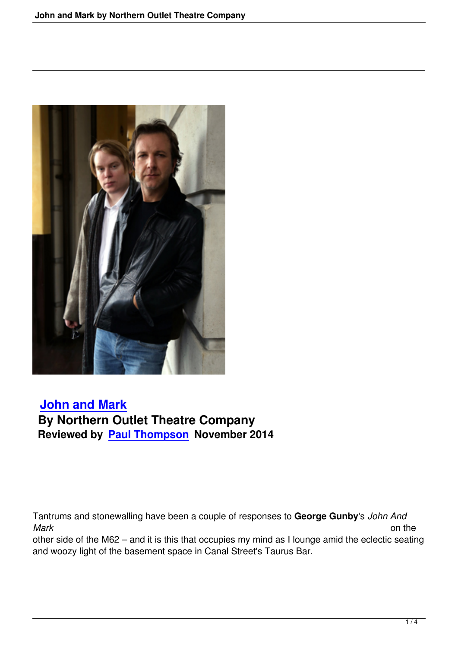

## **John and Mark By Northern Outlet Theatre Company [Reviewed by Pau](http://www.manchestersalon.org.uk/john-and-mark-northern-outlet-theatre-company.html)l Thompson November 2014**

Tantrums and stonewalling have been a couple of responses to **George Gunby**'s *John And Mark* on the other side of the M62 – and it is this that occupies my mind as I lounge amid the eclectic seating and woozy light of the basement space in Canal Street's Taurus Bar.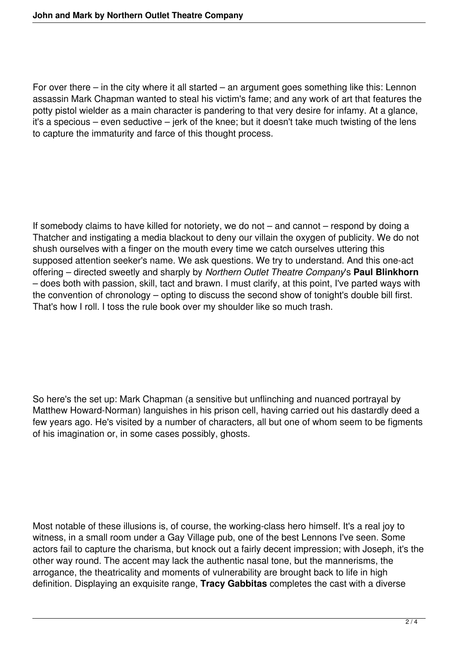For over there – in the city where it all started – an argument goes something like this: Lennon assassin Mark Chapman wanted to steal his victim's fame; and any work of art that features the potty pistol wielder as a main character is pandering to that very desire for infamy. At a glance, it's a specious – even seductive – jerk of the knee; but it doesn't take much twisting of the lens to capture the immaturity and farce of this thought process.

If somebody claims to have killed for notoriety, we do not – and cannot – respond by doing a Thatcher and instigating a media blackout to deny our villain the oxygen of publicity. We do not shush ourselves with a finger on the mouth every time we catch ourselves uttering this supposed attention seeker's name. We ask questions. We try to understand. And this one-act offering – directed sweetly and sharply by *Northern Outlet Theatre Company*'s **Paul Blinkhorn** – does both with passion, skill, tact and brawn. I must clarify, at this point, I've parted ways with the convention of chronology – opting to discuss the second show of tonight's double bill first. That's how I roll. I toss the rule book over my shoulder like so much trash.

So here's the set up: Mark Chapman (a sensitive but unflinching and nuanced portrayal by Matthew Howard-Norman) languishes in his prison cell, having carried out his dastardly deed a few years ago. He's visited by a number of characters, all but one of whom seem to be figments of his imagination or, in some cases possibly, ghosts.

Most notable of these illusions is, of course, the working-class hero himself. It's a real joy to witness, in a small room under a Gay Village pub, one of the best Lennons I've seen. Some actors fail to capture the charisma, but knock out a fairly decent impression; with Joseph, it's the other way round. The accent may lack the authentic nasal tone, but the mannerisms, the arrogance, the theatricality and moments of vulnerability are brought back to life in high definition. Displaying an exquisite range, **Tracy Gabbitas** completes the cast with a diverse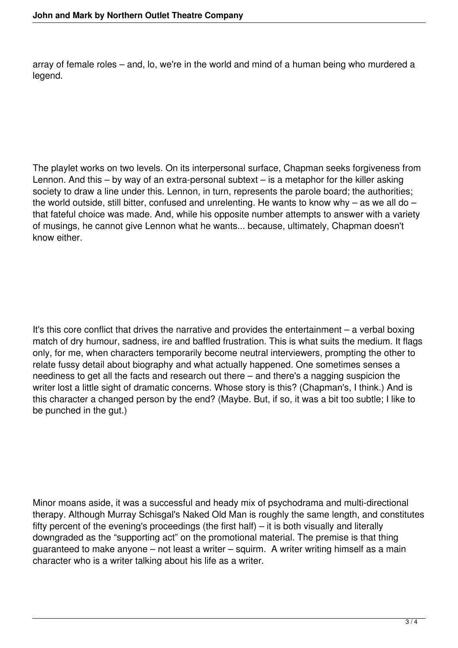array of female roles – and, lo, we're in the world and mind of a human being who murdered a legend.

The playlet works on two levels. On its interpersonal surface, Chapman seeks forgiveness from Lennon. And this – by way of an extra-personal subtext – is a metaphor for the killer asking society to draw a line under this. Lennon, in turn, represents the parole board; the authorities; the world outside, still bitter, confused and unrelenting. He wants to know why – as we all do – that fateful choice was made. And, while his opposite number attempts to answer with a variety of musings, he cannot give Lennon what he wants... because, ultimately, Chapman doesn't know either.

It's this core conflict that drives the narrative and provides the entertainment – a verbal boxing match of dry humour, sadness, ire and baffled frustration. This is what suits the medium. It flags only, for me, when characters temporarily become neutral interviewers, prompting the other to relate fussy detail about biography and what actually happened. One sometimes senses a neediness to get all the facts and research out there – and there's a nagging suspicion the writer lost a little sight of dramatic concerns. Whose story is this? (Chapman's, I think.) And is this character a changed person by the end? (Maybe. But, if so, it was a bit too subtle; I like to be punched in the gut.)

Minor moans aside, it was a successful and heady mix of psychodrama and multi-directional therapy. Although Murray Schisgal's Naked Old Man is roughly the same length, and constitutes fifty percent of the evening's proceedings (the first half) – it is both visually and literally downgraded as the "supporting act" on the promotional material. The premise is that thing guaranteed to make anyone – not least a writer – squirm. A writer writing himself as a main character who is a writer talking about his life as a writer.